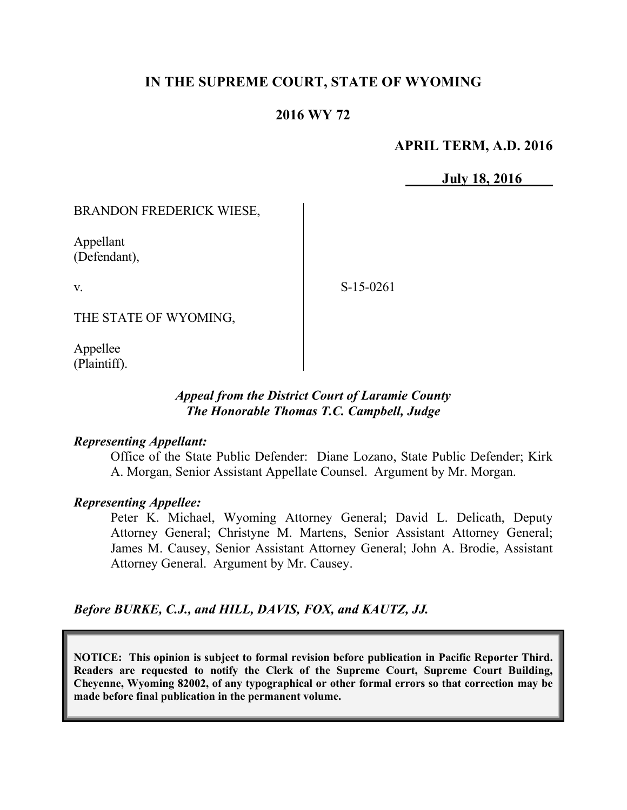## **IN THE SUPREME COURT, STATE OF WYOMING**

#### **2016 WY 72**

#### **APRIL TERM, A.D. 2016**

**July 18, 2016**

BRANDON FREDERICK WIESE,

Appellant (Defendant),

v.

S-15-0261

THE STATE OF WYOMING,

Appellee (Plaintiff).

#### *Appeal from the District Court of Laramie County The Honorable Thomas T.C. Campbell, Judge*

#### *Representing Appellant:*

Office of the State Public Defender: Diane Lozano, State Public Defender; Kirk A. Morgan, Senior Assistant Appellate Counsel. Argument by Mr. Morgan.

#### *Representing Appellee:*

Peter K. Michael, Wyoming Attorney General; David L. Delicath, Deputy Attorney General; Christyne M. Martens, Senior Assistant Attorney General; James M. Causey, Senior Assistant Attorney General; John A. Brodie, Assistant Attorney General. Argument by Mr. Causey.

### *Before BURKE, C.J., and HILL, DAVIS, FOX, and KAUTZ, JJ.*

**NOTICE: This opinion is subject to formal revision before publication in Pacific Reporter Third. Readers are requested to notify the Clerk of the Supreme Court, Supreme Court Building, Cheyenne, Wyoming 82002, of any typographical or other formal errors so that correction may be made before final publication in the permanent volume.**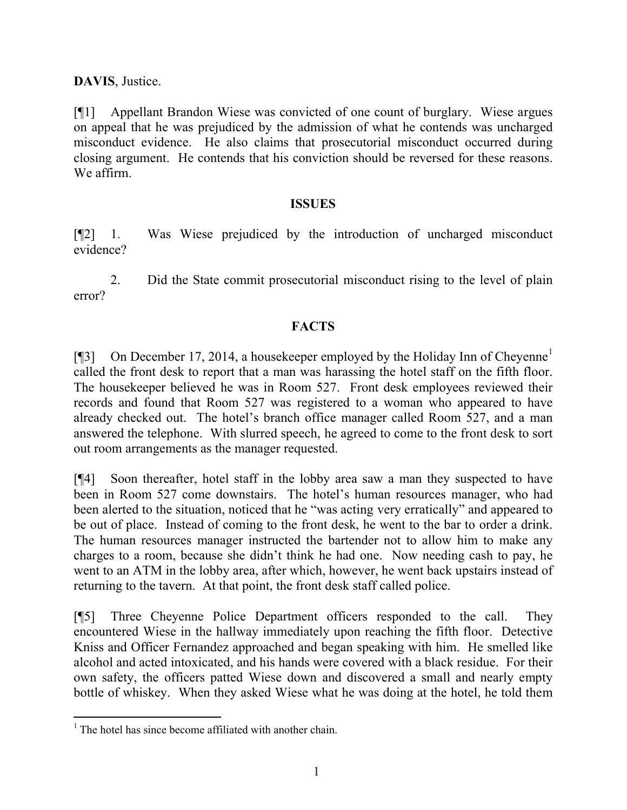**DAVIS**, Justice.

[¶1] Appellant Brandon Wiese was convicted of one count of burglary. Wiese argues on appeal that he was prejudiced by the admission of what he contends was uncharged misconduct evidence. He also claims that prosecutorial misconduct occurred during closing argument. He contends that his conviction should be reversed for these reasons. We affirm.

#### **ISSUES**

[¶2] 1. Was Wiese prejudiced by the introduction of uncharged misconduct evidence?

2. Did the State commit prosecutorial misconduct rising to the level of plain error?

## **FACTS**

[¶3] On December 17, 2014, a housekeeper employed by the Holiday Inn of Cheyenne<sup>1</sup> called the front desk to report that a man was harassing the hotel staff on the fifth floor. The housekeeper believed he was in Room 527. Front desk employees reviewed their records and found that Room 527 was registered to a woman who appeared to have already checked out. The hotel's branch office manager called Room 527, and a man answered the telephone. With slurred speech, he agreed to come to the front desk to sort out room arrangements as the manager requested.

[¶4] Soon thereafter, hotel staff in the lobby area saw a man they suspected to have been in Room 527 come downstairs. The hotel's human resources manager, who had been alerted to the situation, noticed that he "was acting very erratically" and appeared to be out of place. Instead of coming to the front desk, he went to the bar to order a drink. The human resources manager instructed the bartender not to allow him to make any charges to a room, because she didn't think he had one. Now needing cash to pay, he went to an ATM in the lobby area, after which, however, he went back upstairs instead of returning to the tavern. At that point, the front desk staff called police.

[¶5] Three Cheyenne Police Department officers responded to the call. They encountered Wiese in the hallway immediately upon reaching the fifth floor. Detective Kniss and Officer Fernandez approached and began speaking with him. He smelled like alcohol and acted intoxicated, and his hands were covered with a black residue. For their own safety, the officers patted Wiese down and discovered a small and nearly empty bottle of whiskey. When they asked Wiese what he was doing at the hotel, he told them

l

 $<sup>1</sup>$  The hotel has since become affiliated with another chain.</sup>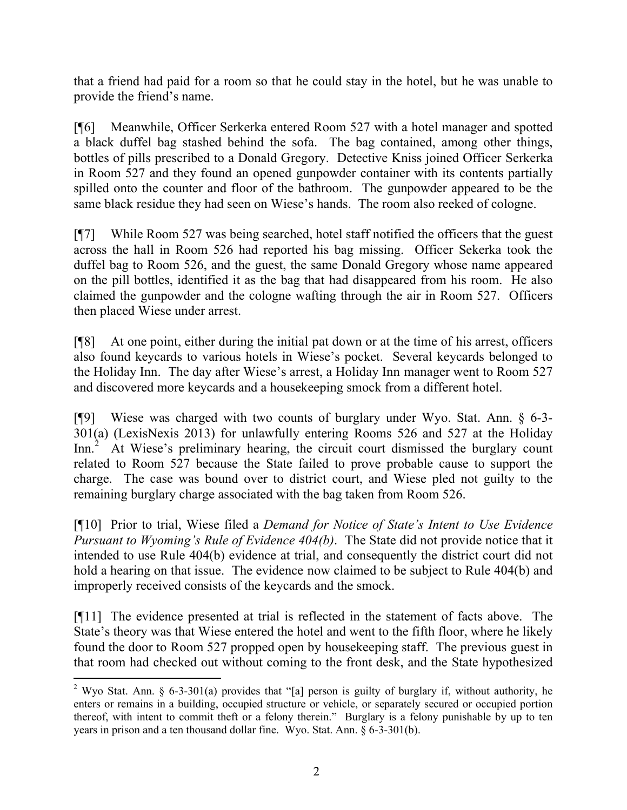that a friend had paid for a room so that he could stay in the hotel, but he was unable to provide the friend's name.

[¶6] Meanwhile, Officer Serkerka entered Room 527 with a hotel manager and spotted a black duffel bag stashed behind the sofa. The bag contained, among other things, bottles of pills prescribed to a Donald Gregory. Detective Kniss joined Officer Serkerka in Room 527 and they found an opened gunpowder container with its contents partially spilled onto the counter and floor of the bathroom. The gunpowder appeared to be the same black residue they had seen on Wiese's hands. The room also reeked of cologne.

[¶7] While Room 527 was being searched, hotel staff notified the officers that the guest across the hall in Room 526 had reported his bag missing. Officer Sekerka took the duffel bag to Room 526, and the guest, the same Donald Gregory whose name appeared on the pill bottles, identified it as the bag that had disappeared from his room. He also claimed the gunpowder and the cologne wafting through the air in Room 527. Officers then placed Wiese under arrest.

[¶8] At one point, either during the initial pat down or at the time of his arrest, officers also found keycards to various hotels in Wiese's pocket. Several keycards belonged to the Holiday Inn. The day after Wiese's arrest, a Holiday Inn manager went to Room 527 and discovered more keycards and a housekeeping smock from a different hotel.

[¶9] Wiese was charged with two counts of burglary under Wyo. Stat. Ann. § 6-3- 301(a) (LexisNexis 2013) for unlawfully entering Rooms 526 and 527 at the Holiday Inn.<sup>2</sup> At Wiese's preliminary hearing, the circuit court dismissed the burglary count related to Room 527 because the State failed to prove probable cause to support the charge. The case was bound over to district court, and Wiese pled not guilty to the remaining burglary charge associated with the bag taken from Room 526.

[¶10] Prior to trial, Wiese filed a *Demand for Notice of State's Intent to Use Evidence Pursuant to Wyoming's Rule of Evidence 404(b)*. The State did not provide notice that it intended to use Rule 404(b) evidence at trial, and consequently the district court did not hold a hearing on that issue. The evidence now claimed to be subject to Rule 404(b) and improperly received consists of the keycards and the smock.

[¶11] The evidence presented at trial is reflected in the statement of facts above. The State's theory was that Wiese entered the hotel and went to the fifth floor, where he likely found the door to Room 527 propped open by housekeeping staff. The previous guest in that room had checked out without coming to the front desk, and the State hypothesized

l

<sup>&</sup>lt;sup>2</sup> Wyo Stat. Ann. § 6-3-301(a) provides that "[a] person is guilty of burglary if, without authority, he enters or remains in a building, occupied structure or vehicle, or separately secured or occupied portion thereof, with intent to commit theft or a felony therein." Burglary is a felony punishable by up to ten years in prison and a ten thousand dollar fine. Wyo. Stat. Ann. § 6-3-301(b).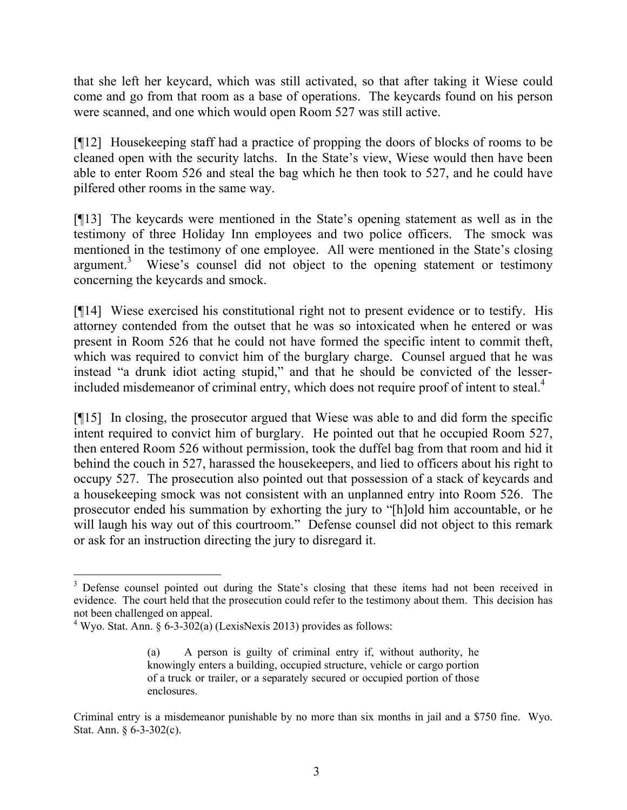that she left her keycard, which was still activated, so that after taking it Wiese could come and go from that room as a base of operations. The keycards found on his person were scanned, and one which would open Room 527 was still active.

[¶12] Housekeeping staff had a practice of propping the doors of blocks of rooms to be cleaned open with the security latchs. In the State's view, Wiese would then have been able to enter Room 526 and steal the bag which he then took to 527, and he could have pilfered other rooms in the same way.

[¶13] The keycards were mentioned in the State's opening statement as well as in the testimony of three Holiday Inn employees and two police officers. The smock was mentioned in the testimony of one employee. All were mentioned in the State's closing argument.<sup>3</sup> Wiese's counsel did not object to the opening statement or testimony concerning the keycards and smock.

[¶14] Wiese exercised his constitutional right not to present evidence or to testify. His attorney contended from the outset that he was so intoxicated when he entered or was present in Room 526 that he could not have formed the specific intent to commit theft, which was required to convict him of the burglary charge. Counsel argued that he was instead "a drunk idiot acting stupid," and that he should be convicted of the lesserincluded misdemeanor of criminal entry, which does not require proof of intent to steal.<sup>4</sup>

[¶15] In closing, the prosecutor argued that Wiese was able to and did form the specific intent required to convict him of burglary. He pointed out that he occupied Room 527, then entered Room 526 without permission, took the duffel bag from that room and hid it behind the couch in 527, harassed the housekeepers, and lied to officers about his right to occupy 527. The prosecution also pointed out that possession of a stack of keycards and a housekeeping smock was not consistent with an unplanned entry into Room 526. The prosecutor ended his summation by exhorting the jury to "[h]old him accountable, or he will laugh his way out of this courtroom." Defense counsel did not object to this remark or ask for an instruction directing the jury to disregard it.

 $\overline{a}$ 

<sup>&</sup>lt;sup>3</sup> Defense counsel pointed out during the State's closing that these items had not been received in evidence. The court held that the prosecution could refer to the testimony about them. This decision has not been challenged on appeal.

<sup>&</sup>lt;sup>4</sup> Wyo. Stat. Ann. § 6-3-302(a) (LexisNexis 2013) provides as follows:

<sup>(</sup>a) A person is guilty of criminal entry if, without authority, he knowingly enters a building, occupied structure, vehicle or cargo portion of a truck or trailer, or a separately secured or occupied portion of those enclosures.

Criminal entry is a misdemeanor punishable by no more than six months in jail and a \$750 fine. Wyo. Stat. Ann. § 6-3-302(c).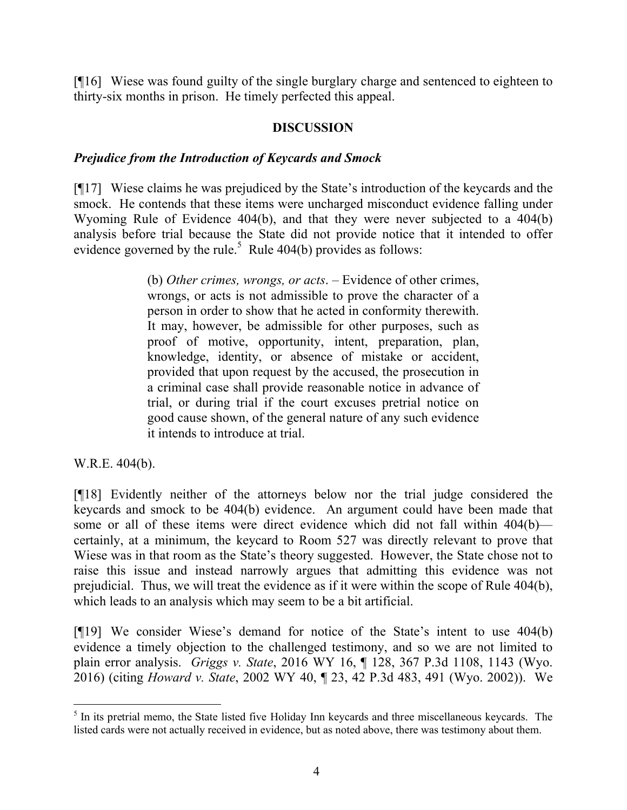[¶16] Wiese was found guilty of the single burglary charge and sentenced to eighteen to thirty-six months in prison. He timely perfected this appeal.

## **DISCUSSION**

#### *Prejudice from the Introduction of Keycards and Smock*

[¶17] Wiese claims he was prejudiced by the State's introduction of the keycards and the smock. He contends that these items were uncharged misconduct evidence falling under Wyoming Rule of Evidence 404(b), and that they were never subjected to a 404(b) analysis before trial because the State did not provide notice that it intended to offer evidence governed by the rule.<sup>5</sup> Rule 404(b) provides as follows:

> (b) *Other crimes, wrongs, or acts*. – Evidence of other crimes, wrongs, or acts is not admissible to prove the character of a person in order to show that he acted in conformity therewith. It may, however, be admissible for other purposes, such as proof of motive, opportunity, intent, preparation, plan, knowledge, identity, or absence of mistake or accident, provided that upon request by the accused, the prosecution in a criminal case shall provide reasonable notice in advance of trial, or during trial if the court excuses pretrial notice on good cause shown, of the general nature of any such evidence it intends to introduce at trial.

W.R.E. 404(b).

[¶18] Evidently neither of the attorneys below nor the trial judge considered the keycards and smock to be 404(b) evidence. An argument could have been made that some or all of these items were direct evidence which did not fall within 404(b) certainly, at a minimum, the keycard to Room 527 was directly relevant to prove that Wiese was in that room as the State's theory suggested. However, the State chose not to raise this issue and instead narrowly argues that admitting this evidence was not prejudicial. Thus, we will treat the evidence as if it were within the scope of Rule 404(b), which leads to an analysis which may seem to be a bit artificial.

[¶19] We consider Wiese's demand for notice of the State's intent to use 404(b) evidence a timely objection to the challenged testimony, and so we are not limited to plain error analysis. *Griggs v. State*, 2016 WY 16, ¶ 128, 367 P.3d 1108, 1143 (Wyo. 2016) (citing *Howard v. State*, 2002 WY 40, ¶ 23, 42 P.3d 483, 491 (Wyo. 2002)). We

<sup>&</sup>lt;sup>5</sup> In its pretrial memo, the State listed five Holiday Inn keycards and three miscellaneous keycards. The listed cards were not actually received in evidence, but as noted above, there was testimony about them.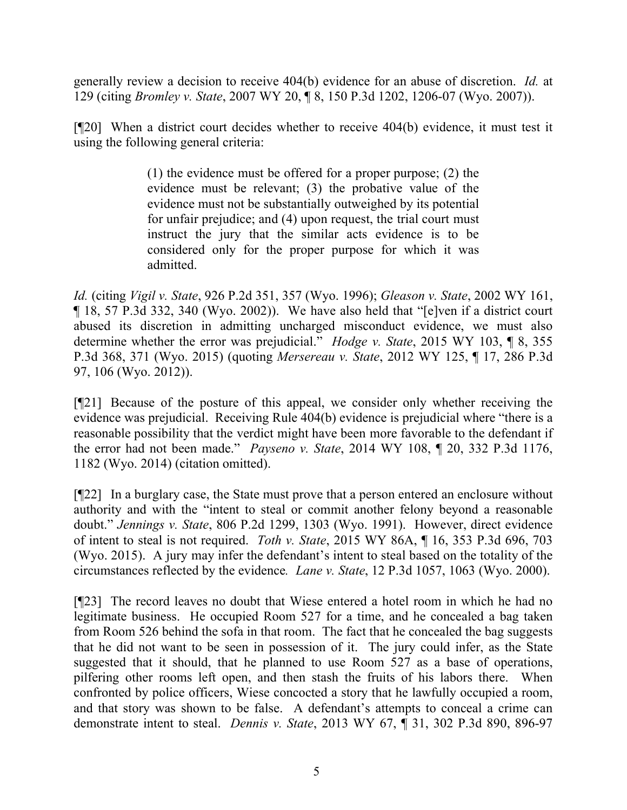generally review a decision to receive 404(b) evidence for an abuse of discretion. *Id.* at 129 (citing *Bromley v. State*, 2007 WY 20, ¶ 8, 150 P.3d 1202, 1206-07 (Wyo. 2007)).

[¶20] When a district court decides whether to receive 404(b) evidence, it must test it using the following general criteria:

> (1) the evidence must be offered for a proper purpose; (2) the evidence must be relevant; (3) the probative value of the evidence must not be substantially outweighed by its potential for unfair prejudice; and (4) upon request, the trial court must instruct the jury that the similar acts evidence is to be considered only for the proper purpose for which it was admitted.

*Id.* (citing *Vigil v. State*, 926 P.2d 351, 357 (Wyo. 1996); *Gleason v. State*, 2002 WY 161, ¶ 18, 57 P.3d 332, 340 (Wyo. 2002)). We have also held that "[e]ven if a district court abused its discretion in admitting uncharged misconduct evidence, we must also determine whether the error was prejudicial." *Hodge v. State*, 2015 WY 103, ¶ 8, 355 P.3d 368, 371 (Wyo. 2015) (quoting *Mersereau v. State*, 2012 WY 125, ¶ 17, 286 P.3d 97, 106 (Wyo. 2012)).

[¶21] Because of the posture of this appeal, we consider only whether receiving the evidence was prejudicial. Receiving Rule 404(b) evidence is prejudicial where "there is a reasonable possibility that the verdict might have been more favorable to the defendant if the error had not been made." *Payseno v. State*, 2014 WY 108, ¶ 20, 332 P.3d 1176, 1182 (Wyo. 2014) (citation omitted).

[¶22] In a burglary case, the State must prove that a person entered an enclosure without authority and with the "intent to steal or commit another felony beyond a reasonable doubt." *Jennings v. State*, 806 P.2d 1299, 1303 (Wyo. 1991). However, direct evidence of intent to steal is not required. *Toth v. State*, 2015 WY 86A, ¶ 16, 353 P.3d 696, 703 (Wyo. 2015). A jury may infer the defendant's intent to steal based on the totality of the circumstances reflected by the evidence*. Lane v. State*, 12 P.3d 1057, 1063 (Wyo. 2000).

[¶23] The record leaves no doubt that Wiese entered a hotel room in which he had no legitimate business. He occupied Room 527 for a time, and he concealed a bag taken from Room 526 behind the sofa in that room. The fact that he concealed the bag suggests that he did not want to be seen in possession of it. The jury could infer, as the State suggested that it should, that he planned to use Room 527 as a base of operations, pilfering other rooms left open, and then stash the fruits of his labors there. When confronted by police officers, Wiese concocted a story that he lawfully occupied a room, and that story was shown to be false. A defendant's attempts to conceal a crime can demonstrate intent to steal. *Dennis v. State*, 2013 WY 67, ¶ 31, 302 P.3d 890, 896-97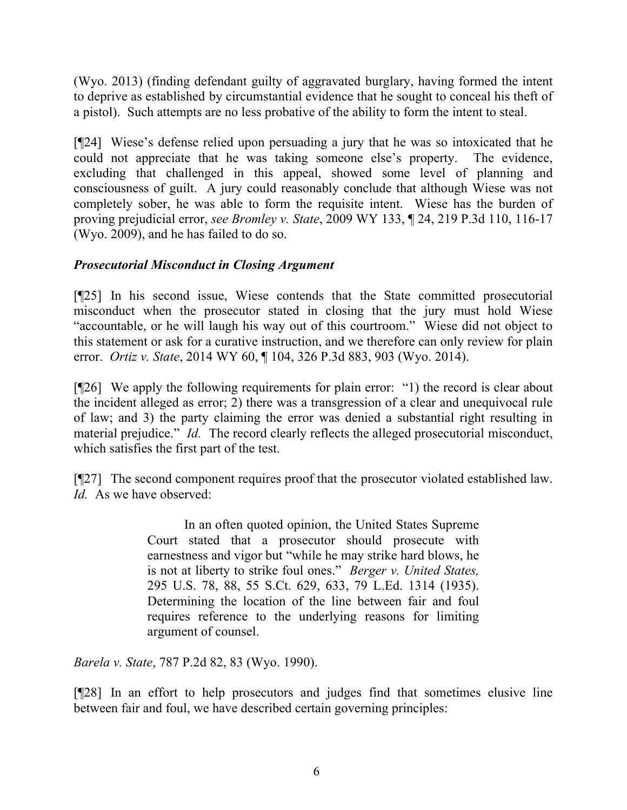(Wyo. 2013) (finding defendant guilty of aggravated burglary, having formed the intent to deprive as established by circumstantial evidence that he sought to conceal his theft of a pistol). Such attempts are no less probative of the ability to form the intent to steal.

[¶24] Wiese's defense relied upon persuading a jury that he was so intoxicated that he could not appreciate that he was taking someone else's property. The evidence, excluding that challenged in this appeal, showed some level of planning and consciousness of guilt. A jury could reasonably conclude that although Wiese was not completely sober, he was able to form the requisite intent. Wiese has the burden of proving prejudicial error, *see Bromley v. State*, 2009 WY 133, ¶ 24, 219 P.3d 110, 116-17 (Wyo. 2009), and he has failed to do so.

# *Prosecutorial Misconduct in Closing Argument*

[¶25] In his second issue, Wiese contends that the State committed prosecutorial misconduct when the prosecutor stated in closing that the jury must hold Wiese "accountable, or he will laugh his way out of this courtroom." Wiese did not object to this statement or ask for a curative instruction, and we therefore can only review for plain error. *Ortiz v. State*, 2014 WY 60, ¶ 104, 326 P.3d 883, 903 (Wyo. 2014).

[¶26] We apply the following requirements for plain error: "1) the record is clear about the incident alleged as error; 2) there was a transgression of a clear and unequivocal rule of law; and 3) the party claiming the error was denied a substantial right resulting in material prejudice." *Id.* The record clearly reflects the alleged prosecutorial misconduct, which satisfies the first part of the test.

[¶27] The second component requires proof that the prosecutor violated established law. *Id.* As we have observed:

> In an often quoted opinion, the United States Supreme Court stated that a prosecutor should prosecute with earnestness and vigor but "while he may strike hard blows, he is not at liberty to strike foul ones." *Berger v. United States,* 295 U.S. 78, 88, 55 S.Ct. 629, 633, 79 L.Ed. 1314 (1935). Determining the location of the line between fair and foul requires reference to the underlying reasons for limiting argument of counsel.

*Barela v. State*, 787 P.2d 82, 83 (Wyo. 1990).

[¶28] In an effort to help prosecutors and judges find that sometimes elusive line between fair and foul, we have described certain governing principles: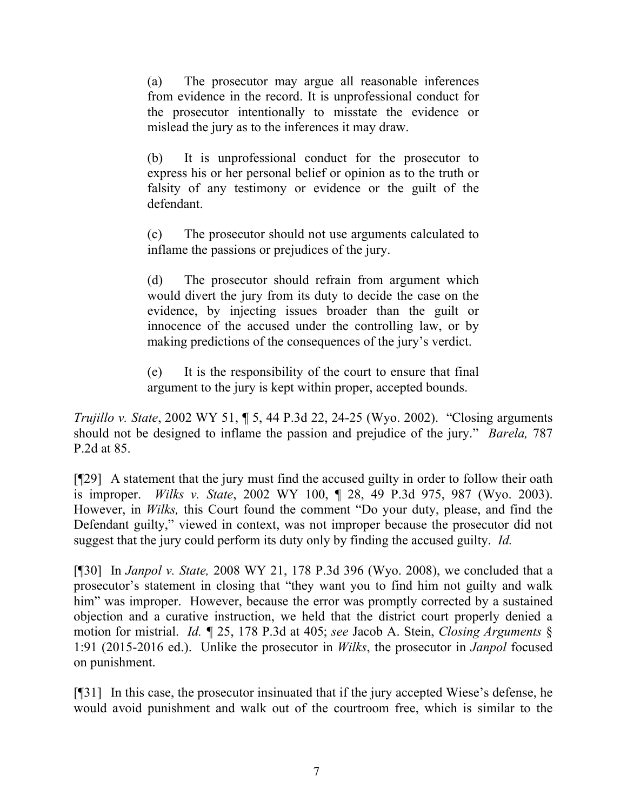(a) The prosecutor may argue all reasonable inferences from evidence in the record. It is unprofessional conduct for the prosecutor intentionally to misstate the evidence or mislead the jury as to the inferences it may draw.

(b) It is unprofessional conduct for the prosecutor to express his or her personal belief or opinion as to the truth or falsity of any testimony or evidence or the guilt of the defendant.

(c) The prosecutor should not use arguments calculated to inflame the passions or prejudices of the jury.

(d) The prosecutor should refrain from argument which would divert the jury from its duty to decide the case on the evidence, by injecting issues broader than the guilt or innocence of the accused under the controlling law, or by making predictions of the consequences of the jury's verdict.

(e) It is the responsibility of the court to ensure that final argument to the jury is kept within proper, accepted bounds.

*Trujillo v. State*, 2002 WY 51, ¶ 5, 44 P.3d 22, 24-25 (Wyo. 2002). "Closing arguments should not be designed to inflame the passion and prejudice of the jury." *Barela,* 787 P.2d at 85.

[¶29] A statement that the jury must find the accused guilty in order to follow their oath is improper. *Wilks v. State*, 2002 WY 100, ¶ 28, 49 P.3d 975, 987 (Wyo. 2003). However, in *Wilks,* this Court found the comment "Do your duty, please, and find the Defendant guilty," viewed in context, was not improper because the prosecutor did not suggest that the jury could perform its duty only by finding the accused guilty. *Id.* 

[¶30] In *Janpol v. State,* 2008 WY 21, 178 P.3d 396 (Wyo. 2008), we concluded that a prosecutor's statement in closing that "they want you to find him not guilty and walk him" was improper. However, because the error was promptly corrected by a sustained objection and a curative instruction, we held that the district court properly denied a motion for mistrial. *Id. ¶* 25, 178 P.3d at 405; *see* Jacob A. Stein, *Closing Arguments* § 1:91 (2015-2016 ed.). Unlike the prosecutor in *Wilks*, the prosecutor in *Janpol* focused on punishment.

[¶31] In this case, the prosecutor insinuated that if the jury accepted Wiese's defense, he would avoid punishment and walk out of the courtroom free, which is similar to the